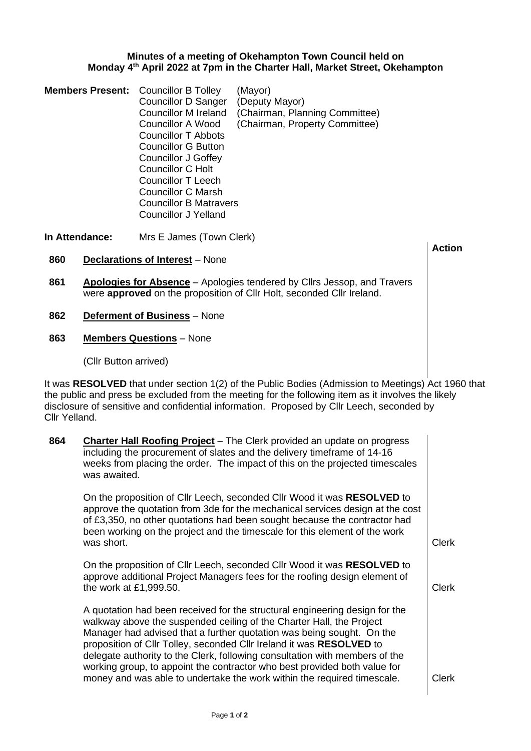## **Minutes of a meeting of Okehampton Town Council held on Monday 4 th April 2022 at 7pm in the Charter Hall, Market Street, Okehampton**

| <b>Members Present:</b> Councillor B Tolley | <b>Councillor D Sanger</b><br><b>Councillor M Ireland</b><br><b>Councillor A Wood</b><br>Councillor T Abbots<br>Councillor G Button<br><b>Councillor J Goffey</b><br>Councillor C Holt<br>Councillor T Leech<br>Councillor C Marsh | (Mayor)<br>(Deputy Mayor)<br>(Chairman, Planning Committee)<br>(Chairman, Property Committee) |
|---------------------------------------------|------------------------------------------------------------------------------------------------------------------------------------------------------------------------------------------------------------------------------------|-----------------------------------------------------------------------------------------------|
|                                             | <b>Councillor B Matravers</b><br>Councillor J Yelland                                                                                                                                                                              |                                                                                               |

**In Attendance:** Mrs E James (Town Clerk)

- **860 Declarations of Interest** None
- **861 Apologies for Absence** Apologies tendered by Cllrs Jessop, and Travers were **approved** on the proposition of Cllr Holt, seconded Cllr Ireland.
- **862 Deferment of Business** None
- **863 Members Questions** None

(Cllr Button arrived)

It was **RESOLVED** that under section 1(2) of the Public Bodies (Admission to Meetings) Act 1960 that the public and press be excluded from the meeting for the following item as it involves the likely disclosure of sensitive and confidential information. Proposed by Cllr Leech, seconded by Cllr Yelland.

**Action**

| 864 | <b>Charter Hall Roofing Project</b> – The Clerk provided an update on progress<br>including the procurement of slates and the delivery timeframe of 14-16<br>weeks from placing the order. The impact of this on the projected timescales<br>was awaited.                                                                                                                                                                                                                                                                                   |              |
|-----|---------------------------------------------------------------------------------------------------------------------------------------------------------------------------------------------------------------------------------------------------------------------------------------------------------------------------------------------------------------------------------------------------------------------------------------------------------------------------------------------------------------------------------------------|--------------|
|     | On the proposition of Cllr Leech, seconded Cllr Wood it was RESOLVED to<br>approve the quotation from 3de for the mechanical services design at the cost<br>of £3,350, no other quotations had been sought because the contractor had<br>been working on the project and the timescale for this element of the work<br>was short.                                                                                                                                                                                                           | <b>Clerk</b> |
|     | On the proposition of Cllr Leech, seconded Cllr Wood it was RESOLVED to<br>approve additional Project Managers fees for the roofing design element of<br>the work at £1,999.50.                                                                                                                                                                                                                                                                                                                                                             | <b>Clerk</b> |
|     | A quotation had been received for the structural engineering design for the<br>walkway above the suspended ceiling of the Charter Hall, the Project<br>Manager had advised that a further quotation was being sought. On the<br>proposition of Cllr Tolley, seconded Cllr Ireland it was RESOLVED to<br>delegate authority to the Clerk, following consultation with members of the<br>working group, to appoint the contractor who best provided both value for<br>money and was able to undertake the work within the required timescale. | <b>Clerk</b> |